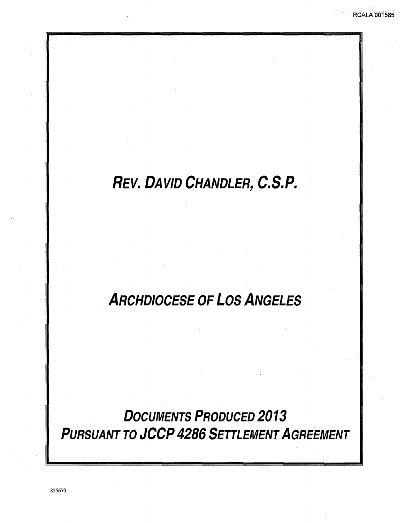# REV. DAVID CHANDLER, C.S.P.

**RCALA 001585** 

# **ARCHDIOCESE OF LOS ANGELES**

**DOCUMENTS PRODUCED 2013 PURSUANT TO JCCP 4286 SETTLEMENT AGREEMENT**